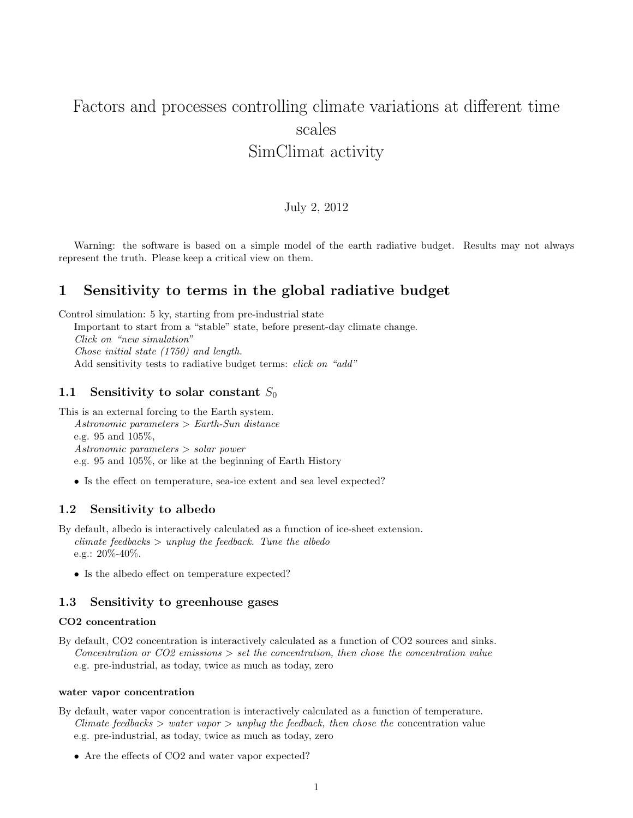# Factors and processes controlling climate variations at different time scales SimClimat activity

## July 2, 2012

Warning: the software is based on a simple model of the earth radiative budget. Results may not always represent the truth. Please keep a critical view on them.

# 1 Sensitivity to terms in the global radiative budget

Control simulation: 5 ky, starting from pre-industrial state

Important to start from a "stable" state, before present-day climate change. Click on "new simulation" Chose initial state (1750) and length. Add sensitivity tests to radiative budget terms: *click on "add"* 

## 1.1 Sensitivity to solar constant  $S_0$

This is an external forcing to the Earth system. Astronomic parameters > Earth-Sun distance e.g. 95 and 105%, Astronomic parameters > solar power e.g. 95 and 105%, or like at the beginning of Earth History

• Is the effect on temperature, sea-ice extent and sea level expected?

#### 1.2 Sensitivity to albedo

- By default, albedo is interactively calculated as a function of ice-sheet extension.  $climate\ feedbacks > unplug\ the\ feedback.$  Tune the albedo e.g.: 20%-40%.
	- Is the albedo effect on temperature expected?

## 1.3 Sensitivity to greenhouse gases

#### CO2 concentration

By default, CO2 concentration is interactively calculated as a function of CO2 sources and sinks. Concentration or  $CO2$  emissions  $>$  set the concentration, then chose the concentration value e.g. pre-industrial, as today, twice as much as today, zero

#### water vapor concentration

By default, water vapor concentration is interactively calculated as a function of temperature. Climate feedbacks  $>$  water vapor  $>$  unplug the feedback, then chose the concentration value e.g. pre-industrial, as today, twice as much as today, zero

• Are the effects of CO2 and water vapor expected?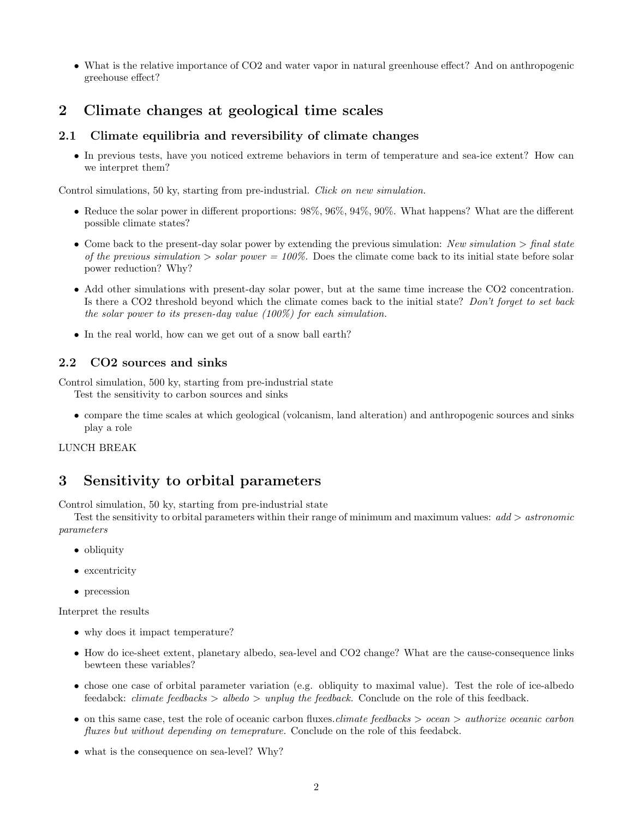• What is the relative importance of CO2 and water vapor in natural greenhouse effect? And on anthropogenic greehouse effect?

# 2 Climate changes at geological time scales

# 2.1 Climate equilibria and reversibility of climate changes

• In previous tests, have you noticed extreme behaviors in term of temperature and sea-ice extent? How can we interpret them?

Control simulations, 50 ky, starting from pre-industrial. Click on new simulation.

- Reduce the solar power in different proportions: 98%, 96%, 94%, 90%. What happens? What are the different possible climate states?
- Come back to the present-day solar power by extending the previous simulation: New simulation  $>$  final state of the previous simulation  $>$  solar power = 100%. Does the climate come back to its initial state before solar power reduction? Why?
- Add other simulations with present-day solar power, but at the same time increase the CO2 concentration. Is there a CO2 threshold beyond which the climate comes back to the initial state? Don't forget to set back the solar power to its presen-day value (100%) for each simulation.
- In the real world, how can we get out of a snow ball earth?

## 2.2 CO2 sources and sinks

Control simulation, 500 ky, starting from pre-industrial state

Test the sensitivity to carbon sources and sinks

• compare the time scales at which geological (volcanism, land alteration) and anthropogenic sources and sinks play a role

## LUNCH BREAK

# 3 Sensitivity to orbital parameters

Control simulation, 50 ky, starting from pre-industrial state

Test the sensitivity to orbital parameters within their range of minimum and maximum values:  $add > astronomic$ parameters

- obliquity
- excentricity
- precession

Interpret the results

- why does it impact temperature?
- How do ice-sheet extent, planetary albedo, sea-level and CO2 change? What are the cause-consequence links bewteen these variables?
- chose one case of orbital parameter variation (e.g. obliquity to maximal value). Test the role of ice-albedo feedabck: *climate feedbacks* > *albedo* > *unplug the feedback*. Conclude on the role of this feedback.
- on this same case, test the role of oceanic carbon fluxes.*climate feedbacks > ocean > authorize oceanic carbon* fluxes but without depending on temeprature. Conclude on the role of this feedabck.
- what is the consequence on sea-level? Why?